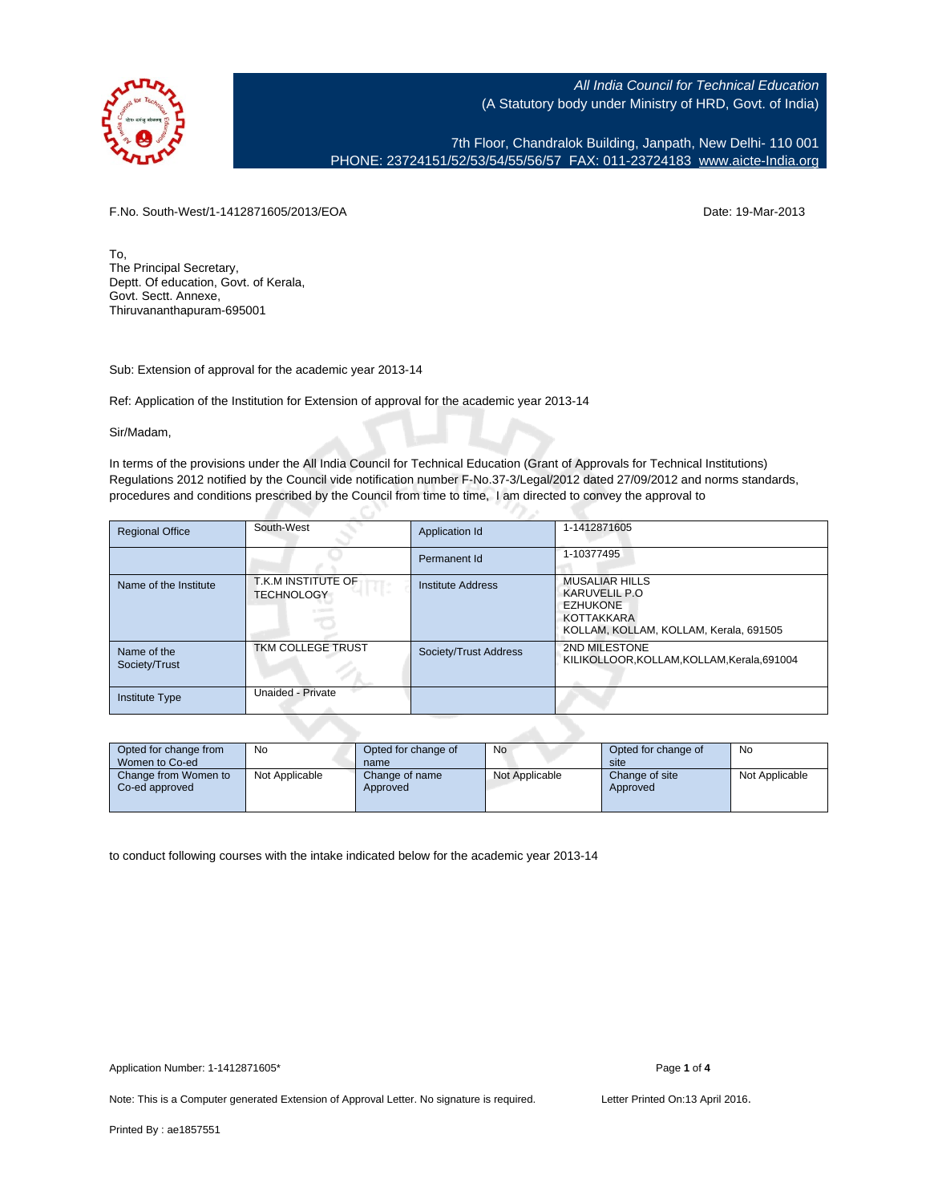

7th Floor, Chandralok Building, Janpath, New Delhi- 110 001 PHONE: 23724151/52/53/54/55/56/57 FAX: 011-23724183 [www.aicte-India.org](http://www.aicte-India.org)

F.No. South-West/1-1412871605/2013/EOA Date: 19-Mar-2013

To, The Principal Secretary, Deptt. Of education, Govt. of Kerala, Govt. Sectt. Annexe, Thiruvananthapuram-695001

Sub: Extension of approval for the academic year 2013-14

Ref: Application of the Institution for Extension of approval for the academic year 2013-14

C.

Sir/Madam,

In terms of the provisions under the All India Council for Technical Education (Grant of Approvals for Technical Institutions) Regulations 2012 notified by the Council vide notification number F-No.37-3/Legal/2012 dated 27/09/2012 and norms standards, procedures and conditions prescribed by the Council from time to time, I am directed to convey the approval to

| <b>Regional Office</b>       | South-West                              | Application Id        | 1-1412871605                                                                                                       |
|------------------------------|-----------------------------------------|-----------------------|--------------------------------------------------------------------------------------------------------------------|
|                              |                                         | Permanent Id          | 1-10377495                                                                                                         |
| Name of the Institute        | T.K.M INSTITUTE OF<br><b>TECHNOLOGY</b> | Institute Address     | <b>MUSALIAR HILLS</b><br>KARUVELIL P.O.<br><b>EZHUKONE</b><br>KOTTAKKARA<br>KOLLAM, KOLLAM, KOLLAM, Kerala, 691505 |
| Name of the<br>Society/Trust | TKM COLLEGE TRUST                       | Society/Trust Address | 2ND MILESTONE<br>KILIKOLLOOR, KOLLAM, KOLLAM, Kerala, 691004                                                       |
| <b>Institute Type</b>        | Unaided - Private                       |                       |                                                                                                                    |

| Opted for change from<br>Women to Co-ed | No             | Opted for change of<br>name | No             | Opted for change of<br>site | No             |
|-----------------------------------------|----------------|-----------------------------|----------------|-----------------------------|----------------|
| Change from Women to<br>Co-ed approved  | Not Applicable | Change of name<br>Approved  | Not Applicable | Change of site<br>Approved  | Not Applicable |

to conduct following courses with the intake indicated below for the academic year 2013-14

Note: This is a Computer generated Extension of Approval Letter. No signature is required. Letter Printed On:13 April 2016.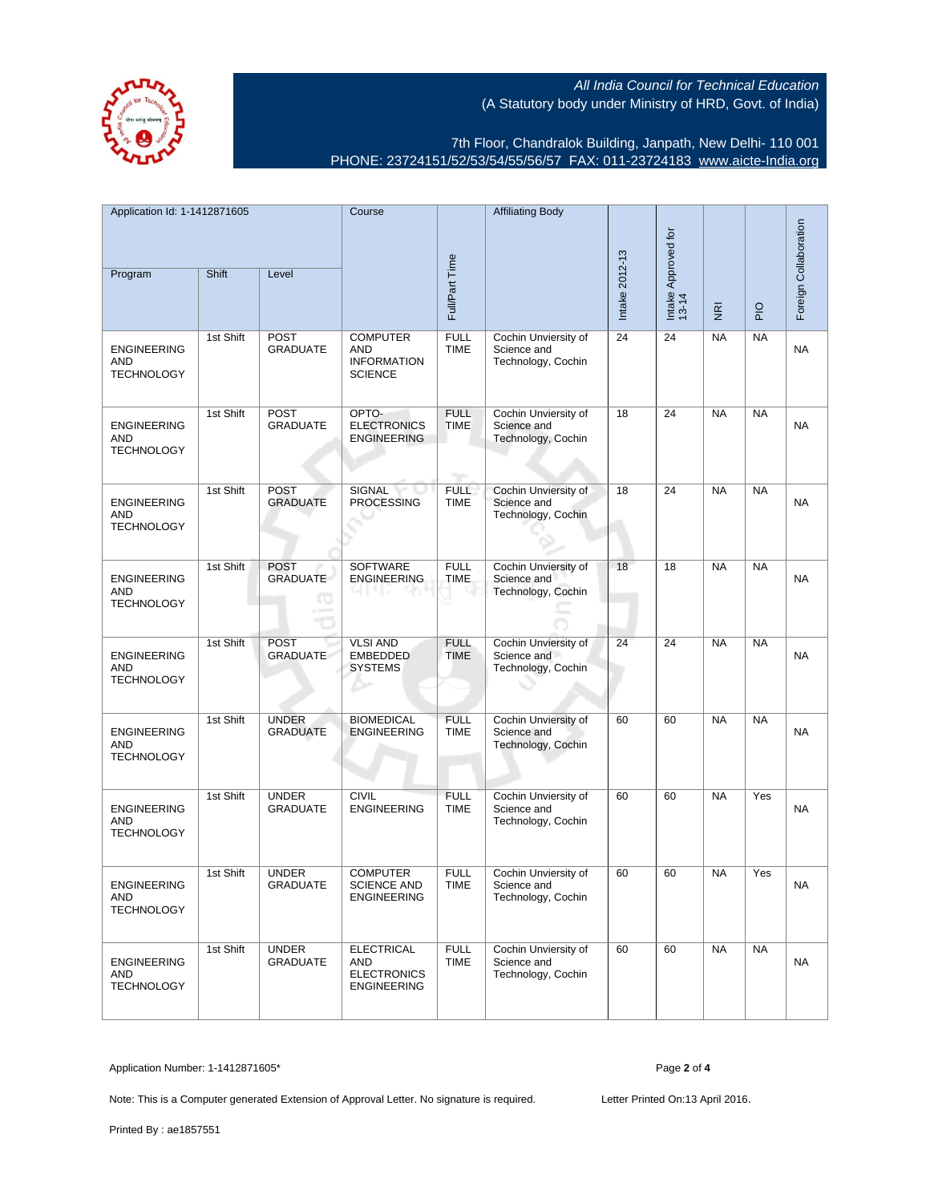7th Floor, Chandralok Building, Janpath, New Delhi- 110 001 PHONE: 23724151/52/53/54/55/56/57 FAX: 011-23724183 [www.aicte-India.org](http://www.aicte-India.org)

| Application Id: 1-1412871605<br>Program               | Shift     | Level                           | Course                                                                | Full/Part Time                      | <b>Affiliating Body</b>                                   | Intake 2012-13 | Intake Approved for<br>13-14 | $\overline{\underline{\mathbf{g}}}$ | $\frac{1}{2}$ | Foreign Collaboration |
|-------------------------------------------------------|-----------|---------------------------------|-----------------------------------------------------------------------|-------------------------------------|-----------------------------------------------------------|----------------|------------------------------|-------------------------------------|---------------|-----------------------|
|                                                       |           |                                 |                                                                       |                                     |                                                           |                |                              |                                     |               |                       |
| <b>ENGINEERING</b><br>AND<br><b>TECHNOLOGY</b>        | 1st Shift | <b>POST</b><br><b>GRADUATE</b>  | <b>COMPUTER</b><br><b>AND</b><br><b>INFORMATION</b><br><b>SCIENCE</b> | <b>FULL</b><br><b>TIME</b>          | Cochin Unviersity of<br>Science and<br>Technology, Cochin | 24             | 24                           | <b>NA</b>                           | <b>NA</b>     | <b>NA</b>             |
| <b>ENGINEERING</b><br>AND<br><b>TECHNOLOGY</b>        | 1st Shift | <b>POST</b><br><b>GRADUATE</b>  | OPTO-<br><b>ELECTRONICS</b><br><b>ENGINEERING</b>                     | <b>FULL</b><br><b>TIME</b><br>nga s | Cochin Unviersity of<br>Science and<br>Technology, Cochin | 18             | 24                           | <b>NA</b>                           | <b>NA</b>     | <b>NA</b>             |
| <b>ENGINEERING</b><br>AND<br><b>TECHNOLOGY</b>        | 1st Shift | <b>POST</b><br><b>GRADUATE</b>  | SIGNAL<br><b>PROCESSING</b>                                           | <b>FULL</b><br><b>TIME</b>          | Cochin Unviersity of<br>Science and<br>Technology, Cochin | 18             | 24                           | <b>NA</b>                           | <b>NA</b>     | NA                    |
| <b>ENGINEERING</b><br>AND<br><b>TECHNOLOGY</b>        | 1st Shift | <b>POST</b><br><b>GRADUATE</b>  | SOFTWARE<br><b>ENGINEERING</b>                                        | <b>FULL</b><br><b>TIME</b>          | Cochin Unviersity of<br>Science and<br>Technology, Cochin | 18             | 18                           | <b>NA</b>                           | <b>NA</b>     | NA                    |
| <b>ENGINEERING</b><br>AND<br><b>TECHNOLOGY</b>        | 1st Shift | <b>POST</b><br><b>GRADUATE</b>  | <b>VLSI AND</b><br><b>EMBEDDED</b><br><b>SYSTEMS</b>                  | <b>FULL</b><br><b>TIME</b>          | Cochin Unviersity of<br>Science and<br>Technology, Cochin | 24             | 24                           | <b>NA</b>                           | <b>NA</b>     | <b>NA</b>             |
| <b>ENGINEERING</b><br>AND<br><b>TECHNOLOGY</b>        | 1st Shift | <b>UNDER</b><br><b>GRADUATE</b> | <b>BIOMEDICAL</b><br><b>ENGINEERING</b>                               | <b>FULL</b><br><b>TIME</b>          | Cochin Unviersity of<br>Science and<br>Technology, Cochin | 60             | 60                           | <b>NA</b>                           | <b>NA</b>     | <b>NA</b>             |
| <b>ENGINEERING</b><br><b>AND</b><br><b>TECHNOLOGY</b> | 1st Shift | <b>UNDER</b><br><b>GRADUATE</b> | <b>CIVIL</b><br><b>ENGINEERING</b>                                    | <b>FULL</b><br><b>TIME</b>          | Cochin Unviersity of<br>Science and<br>Technology, Cochin | 60             | 60                           | <b>NA</b>                           | Yes           | <b>NA</b>             |
| <b>ENGINEERING</b><br>AND<br><b>TECHNOLOGY</b>        | 1st Shift | <b>UNDER</b><br><b>GRADUATE</b> | <b>COMPUTER</b><br><b>SCIENCE AND</b><br><b>ENGINEERING</b>           | <b>FULL</b><br><b>TIME</b>          | Cochin Unviersity of<br>Science and<br>Technology, Cochin | 60             | 60                           | <b>NA</b>                           | Yes           | NA                    |
| <b>ENGINEERING</b><br>AND<br><b>TECHNOLOGY</b>        | 1st Shift | <b>UNDER</b><br><b>GRADUATE</b> | <b>ELECTRICAL</b><br>AND<br><b>ELECTRONICS</b><br><b>ENGINEERING</b>  | <b>FULL</b><br><b>TIME</b>          | Cochin Unviersity of<br>Science and<br>Technology, Cochin | 60             | 60                           | <b>NA</b>                           | <b>NA</b>     | NA                    |

Application Number: 1-1412871605\* Page **2** of **4**

Note: This is a Computer generated Extension of Approval Letter. No signature is required. Letter Printed On:13 April 2016.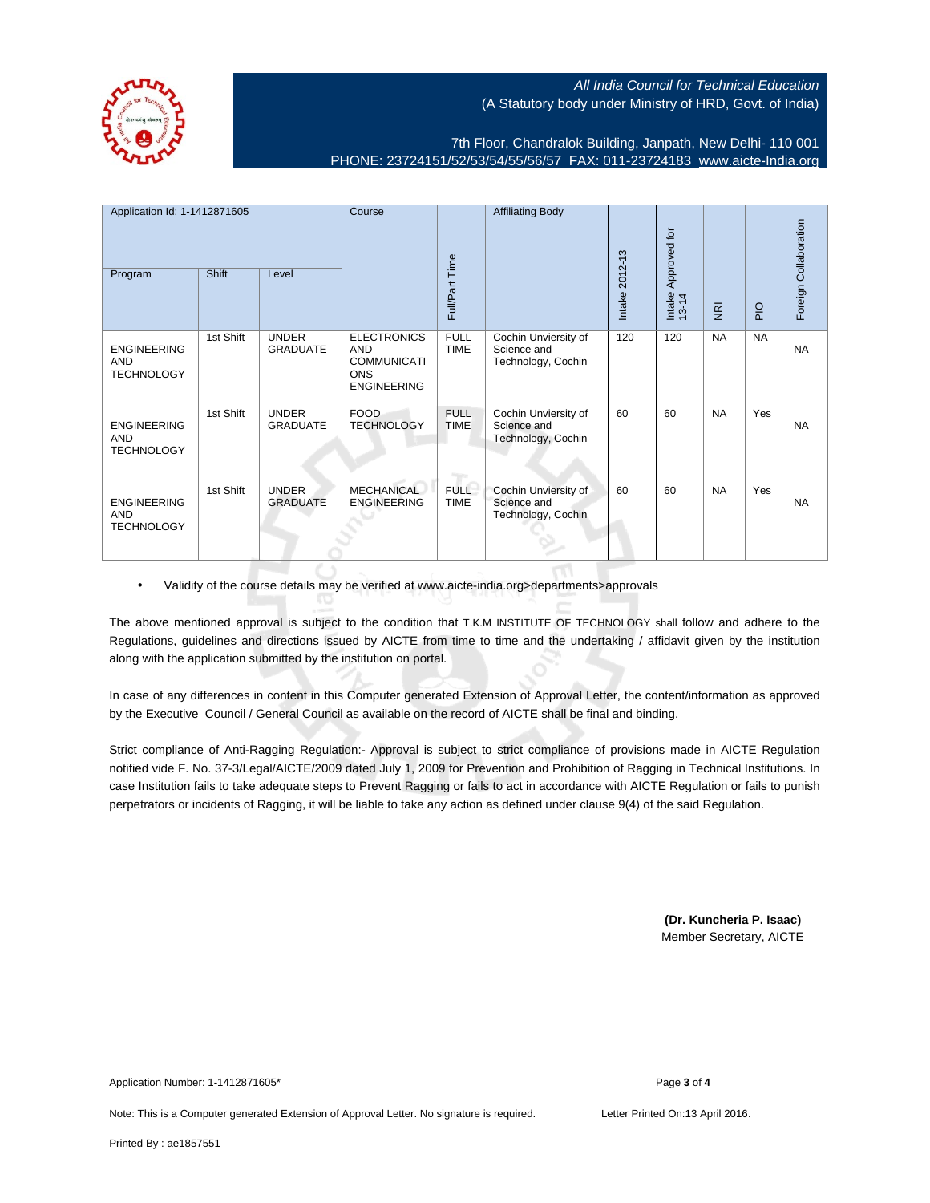

7th Floor, Chandralok Building, Janpath, New Delhi- 110 001 PHONE: 23724151/52/53/54/55/56/57 FAX: 011-23724183 [www.aicte-India.org](http://www.aicte-India.org)

| Application Id: 1-1412871605<br>Program               | Shift     | Level                           | Course                                                                                     | Full/Part Time             | <b>Affiliating Body</b>                                   | Intake 2012-13 | Approved for<br>Intake<br>13-14 | $\overline{\mathbf{g}}$ | $\frac{1}{2}$ | Foreign Collaboration |
|-------------------------------------------------------|-----------|---------------------------------|--------------------------------------------------------------------------------------------|----------------------------|-----------------------------------------------------------|----------------|---------------------------------|-------------------------|---------------|-----------------------|
| <b>ENGINEERING</b><br>AND<br><b>TECHNOLOGY</b>        | 1st Shift | <b>UNDER</b><br><b>GRADUATE</b> | <b>ELECTRONICS</b><br><b>AND</b><br><b>COMMUNICATI</b><br><b>ONS</b><br><b>ENGINEERING</b> | <b>FULL</b><br><b>TIME</b> | Cochin Unviersity of<br>Science and<br>Technology, Cochin | 120            | 120                             | <b>NA</b>               | <b>NA</b>     | <b>NA</b>             |
| <b>ENGINEERING</b><br><b>AND</b><br><b>TECHNOLOGY</b> | 1st Shift | <b>UNDER</b><br><b>GRADUATE</b> | <b>FOOD</b><br><b>TECHNOLOGY</b>                                                           | <b>FULL</b><br><b>TIME</b> | Cochin Unviersity of<br>Science and<br>Technology, Cochin | 60             | 60                              | <b>NA</b>               | Yes           | <b>NA</b>             |
| <b>ENGINEERING</b><br><b>AND</b><br><b>TECHNOLOGY</b> | 1st Shift | <b>UNDER</b><br><b>GRADUATE</b> | <b>MECHANICAL</b><br><b>ENGINEERING</b>                                                    | <b>FULL</b><br><b>TIME</b> | Cochin Unviersity of<br>Science and<br>Technology, Cochin | 60             | 60                              | <b>NA</b>               | Yes           | <b>NA</b>             |

• Validity of the course details may be verified at www.aicte-india.org>departments>approvals

The above mentioned approval is subject to the condition that T.K.M INSTITUTE OF TECHNOLOGY shall follow and adhere to the Regulations, guidelines and directions issued by AICTE from time to time and the undertaking / affidavit given by the institution along with the application submitted by the institution on portal.

In case of any differences in content in this Computer generated Extension of Approval Letter, the content/information as approved by the Executive Council / General Council as available on the record of AICTE shall be final and binding.

Strict compliance of Anti-Ragging Regulation:- Approval is subject to strict compliance of provisions made in AICTE Regulation notified vide F. No. 37-3/Legal/AICTE/2009 dated July 1, 2009 for Prevention and Prohibition of Ragging in Technical Institutions. In case Institution fails to take adequate steps to Prevent Ragging or fails to act in accordance with AICTE Regulation or fails to punish perpetrators or incidents of Ragging, it will be liable to take any action as defined under clause 9(4) of the said Regulation.

> **(Dr. Kuncheria P. Isaac)** Member Secretary, AICTE

Application Number: 1-1412871605\* Page **3** of **4**